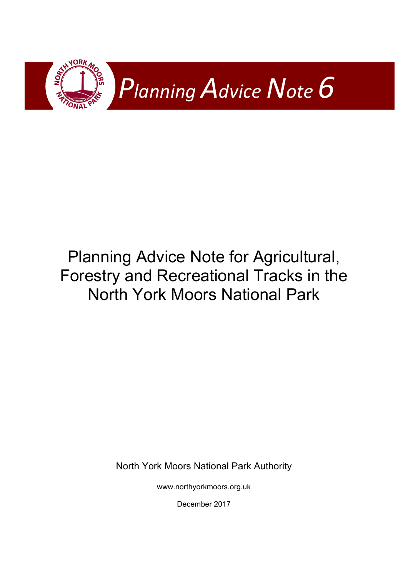

# Planning Advice Note for Agricultural, Forestry and Recreational Tracks in the North York Moors National Park

North York Moors National Park Authority

www.northyorkmoors.org.uk

December 2017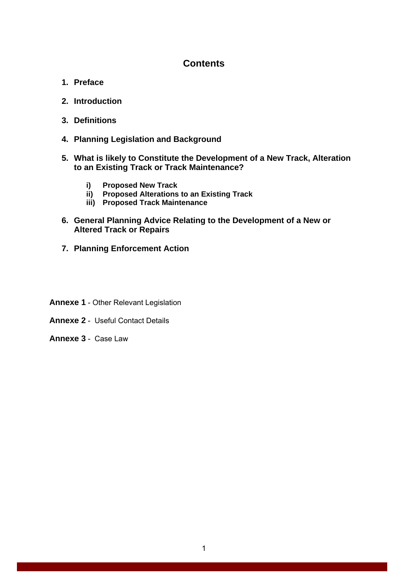# **Contents**

- **1. Preface**
- **2. Introduction**
- **3. Definitions**
- **4. Planning Legislation and Background**
- **5. What is likely to Constitute the Development of a New Track, Alteration to an Existing Track or Track Maintenance?** 
	- **i) Proposed New Track**
	- **ii) Proposed Alterations to an Existing Track**
	- **iii) Proposed Track Maintenance**
- **6. General Planning Advice Relating to the Development of a New or Altered Track or Repairs**
- **7. Planning Enforcement Action**
- **Annexe 1** Other Relevant Legislation
- **Annexe 2** Useful Contact Details
- **Annexe 3** Case Law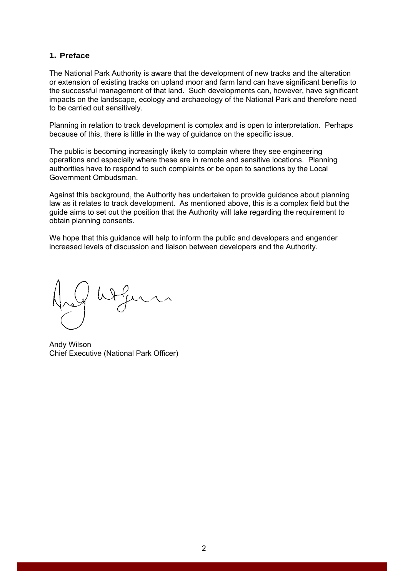# **1. Preface**

The National Park Authority is aware that the development of new tracks and the alteration or extension of existing tracks on upland moor and farm land can have significant benefits to the successful management of that land. Such developments can, however, have significant impacts on the landscape, ecology and archaeology of the National Park and therefore need to be carried out sensitively.

Planning in relation to track development is complex and is open to interpretation. Perhaps because of this, there is little in the way of guidance on the specific issue.

The public is becoming increasingly likely to complain where they see engineering operations and especially where these are in remote and sensitive locations. Planning authorities have to respond to such complaints or be open to sanctions by the Local Government Ombudsman.

Against this background, the Authority has undertaken to provide guidance about planning law as it relates to track development. As mentioned above, this is a complex field but the guide aims to set out the position that the Authority will take regarding the requirement to obtain planning consents.

We hope that this quidance will help to inform the public and developers and engender increased levels of discussion and liaison between developers and the Authority.

Andy Wilson Chief Executive (National Park Officer)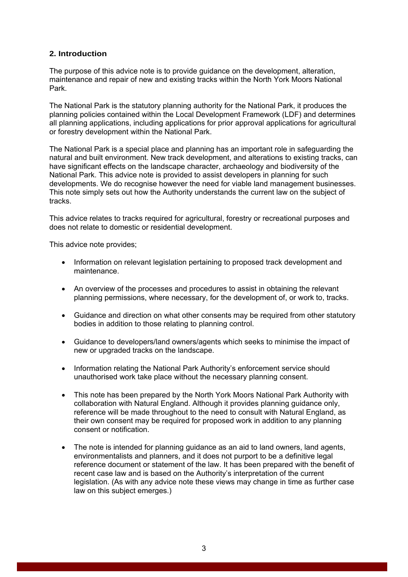# **2. Introduction**

The purpose of this advice note is to provide guidance on the development, alteration, maintenance and repair of new and existing tracks within the North York Moors National Park.

The National Park is the statutory planning authority for the National Park, it produces the planning policies contained within the Local Development Framework (LDF) and determines all planning applications, including applications for prior approval applications for agricultural or forestry development within the National Park.

The National Park is a special place and planning has an important role in safeguarding the natural and built environment. New track development, and alterations to existing tracks, can have significant effects on the landscape character, archaeology and biodiversity of the National Park. This advice note is provided to assist developers in planning for such developments. We do recognise however the need for viable land management businesses. This note simply sets out how the Authority understands the current law on the subject of tracks.

This advice relates to tracks required for agricultural, forestry or recreational purposes and does not relate to domestic or residential development.

This advice note provides;

- Information on relevant legislation pertaining to proposed track development and maintenance.
- An overview of the processes and procedures to assist in obtaining the relevant planning permissions, where necessary, for the development of, or work to, tracks.
- Guidance and direction on what other consents may be required from other statutory bodies in addition to those relating to planning control.
- Guidance to developers/land owners/agents which seeks to minimise the impact of new or upgraded tracks on the landscape.
- Information relating the National Park Authority's enforcement service should unauthorised work take place without the necessary planning consent.
- This note has been prepared by the North York Moors National Park Authority with collaboration with Natural England. Although it provides planning guidance only, reference will be made throughout to the need to consult with Natural England, as their own consent may be required for proposed work in addition to any planning consent or notification.
- The note is intended for planning guidance as an aid to land owners, land agents, environmentalists and planners, and it does not purport to be a definitive legal reference document or statement of the law. It has been prepared with the benefit of recent case law and is based on the Authority's interpretation of the current legislation. (As with any advice note these views may change in time as further case law on this subject emerges.)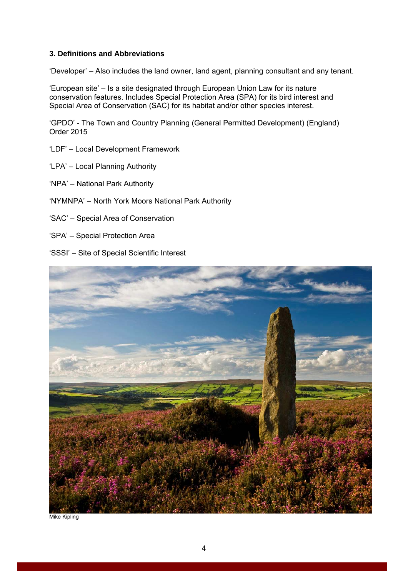# **3. Definitions and Abbreviations**

'Developer' – Also includes the land owner, land agent, planning consultant and any tenant.

'European site' – Is a site designated through European Union Law for its nature conservation features. Includes Special Protection Area (SPA) for its bird interest and Special Area of Conservation (SAC) for its habitat and/or other species interest.

'GPDO' - The Town and Country Planning (General Permitted Development) (England) Order 2015

- 'LDF' Local Development Framework
- 'LPA' Local Planning Authority
- 'NPA' National Park Authority
- 'NYMNPA' North York Moors National Park Authority
- 'SAC' Special Area of Conservation
- 'SPA' Special Protection Area
- 'SSSI' Site of Special Scientific Interest



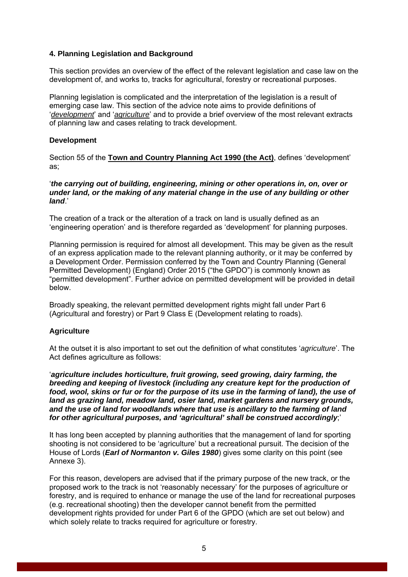# **4. Planning Legislation and Background**

This section provides an overview of the effect of the relevant legislation and case law on the development of, and works to, tracks for agricultural, forestry or recreational purposes.

Planning legislation is complicated and the interpretation of the legislation is a result of emerging case law. This section of the advice note aims to provide definitions of '*development*' and '*agriculture*' and to provide a brief overview of the most relevant extracts of planning law and cases relating to track development.

# **Development**

Section 55 of the **Town and Country Planning Act 1990 (the Act)**, defines 'development' as;

#### '*the carrying out of building, engineering, mining or other operations in, on, over or under land, or the making of any material change in the use of any building or other land*.'

The creation of a track or the alteration of a track on land is usually defined as an 'engineering operation' and is therefore regarded as 'development' for planning purposes.

Planning permission is required for almost all development. This may be given as the result of an express application made to the relevant planning authority, or it may be conferred by a Development Order. Permission conferred by the Town and Country Planning (General Permitted Development) (England) Order 2015 ("the GPDO") is commonly known as "permitted development". Further advice on permitted development will be provided in detail below.

Broadly speaking, the relevant permitted development rights might fall under Part 6 (Agricultural and forestry) or Part 9 Class E (Development relating to roads).

# **Agriculture**

At the outset it is also important to set out the definition of what constitutes '*agriculture*'. The Act defines agriculture as follows:

'*agriculture includes horticulture, fruit growing, seed growing, dairy farming, the breeding and keeping of livestock (including any creature kept for the production of food, wool, skins or fur or for the purpose of its use in the farming of land), the use of land as grazing land, meadow land, osier land, market gardens and nursery grounds, and the use of land for woodlands where that use is ancillary to the farming of land for other agricultural purposes, and 'agricultural' shall be construed accordingly*;'

It has long been accepted by planning authorities that the management of land for sporting shooting is not considered to be 'agriculture' but a recreational pursuit. The decision of the House of Lords (*Earl of Normanton v. Giles 1980*) gives some clarity on this point (see Annexe 3).

For this reason, developers are advised that if the primary purpose of the new track, or the proposed work to the track is not 'reasonably necessary' for the purposes of agriculture or forestry, and is required to enhance or manage the use of the land for recreational purposes (e.g. recreational shooting) then the developer cannot benefit from the permitted development rights provided for under Part 6 of the GPDO (which are set out below) and which solely relate to tracks required for agriculture or forestry.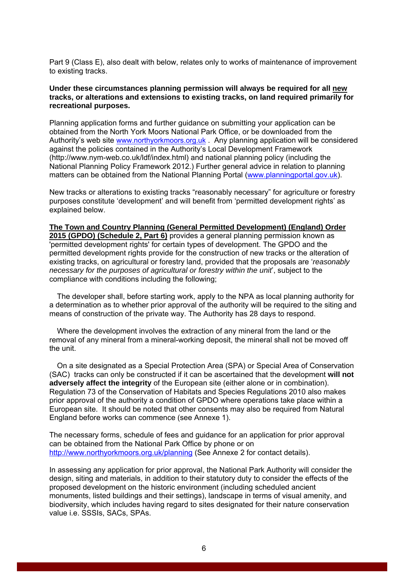Part 9 (Class E), also dealt with below, relates only to works of maintenance of improvement to existing tracks.

#### **Under these circumstances planning permission will always be required for all new tracks, or alterations and extensions to existing tracks, on land required primarily for recreational purposes.**

Planning application forms and further guidance on submitting your application can be obtained from the North York Moors National Park Office, or be downloaded from the Authority's web site www.northyorkmoors.org.uk . Any planning application will be considered against the policies contained in the Authority's Local Development Framework (http://www.nym-web.co.uk/ldf/index.html) and national planning policy (including the National Planning Policy Framework 2012.) Further general advice in relation to planning matters can be obtained from the National Planning Portal (www.planningportal.gov.uk).

New tracks or alterations to existing tracks "reasonably necessary" for agriculture or forestry purposes constitute 'development' and will benefit from 'permitted development rights' as explained below.

#### **The Town and Country Planning (General Permitted Development) (England) Order 2015 (GPDO) (Schedule 2, Part 6)** provides a general planning permission known as 'permitted development rights' for certain types of development. The GPDO and the permitted development rights provide for the construction of new tracks or the alteration of existing tracks, on agricultural or forestry land, provided that the proposals are '*reasonably necessary for the purposes of agricultural or forestry within the unit*', subject to the compliance with conditions including the following;

 The developer shall, before starting work, apply to the NPA as local planning authority for a determination as to whether prior approval of the authority will be required to the siting and means of construction of the private way. The Authority has 28 days to respond.

 Where the development involves the extraction of any mineral from the land or the removal of any mineral from a mineral-working deposit, the mineral shall not be moved off the unit.

 On a site designated as a Special Protection Area (SPA) or Special Area of Conservation (SAC) tracks can only be constructed if it can be ascertained that the development **will not adversely affect the integrity** of the European site (either alone or in combination). Regulation 73 of the Conservation of Habitats and Species Regulations 2010 also makes prior approval of the authority a condition of GPDO where operations take place within a European site. It should be noted that other consents may also be required from Natural England before works can commence (see Annexe 1).

The necessary forms, schedule of fees and guidance for an application for prior approval can be obtained from the National Park Office by phone or on http://www.northyorkmoors.org.uk/planning (See Annexe 2 for contact details).

In assessing any application for prior approval, the National Park Authority will consider the design, siting and materials, in addition to their statutory duty to consider the effects of the proposed development on the historic environment (including scheduled ancient monuments, listed buildings and their settings), landscape in terms of visual amenity, and biodiversity, which includes having regard to sites designated for their nature conservation value i.e. SSSIs, SACs, SPAs.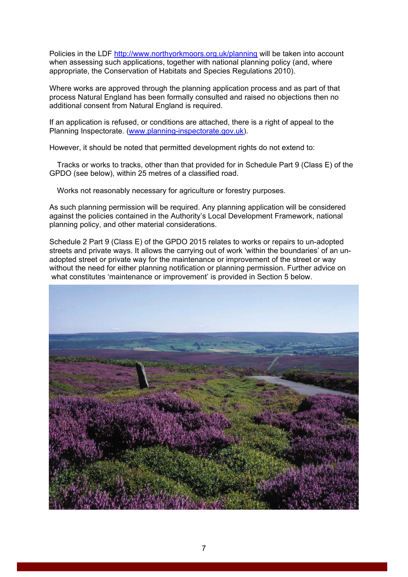Policies in the LDF http://www.northyorkmoors.org.uk/planning will be taken into account when assessing such applications, together with national planning policy (and, where appropriate, the Conservation of Habitats and Species Regulations 2010).

Where works are approved through the planning application process and as part of that process Natural England has been formally consulted and raised no objections then no additional consent from Natural England is required.

If an application is refused, or conditions are attached, there is a right of appeal to the Planning Inspectorate. (www.planning-inspectorate.gov.uk).

However, it should be noted that permitted development rights do not extend to:

 Tracks or works to tracks, other than that provided for in Schedule Part 9 (Class E) of the GPDO (see below), within 25 metres of a classified road.

Works not reasonably necessary for agriculture or forestry purposes.

As such planning permission will be required. Any planning application will be considered against the policies contained in the Authority's Local Development Framework, national planning policy, and other material considerations.

Schedule 2 Part 9 (Class E) of the GPDO 2015 relates to works or repairs to un-adopted streets and private ways. It allows the carrying out of work 'within the boundaries' of an unadopted street or private way for the maintenance or improvement of the street or way without the need for either planning notification or planning permission. Further advice on what constitutes 'maintenance or improvement' is provided in Section 5 below.

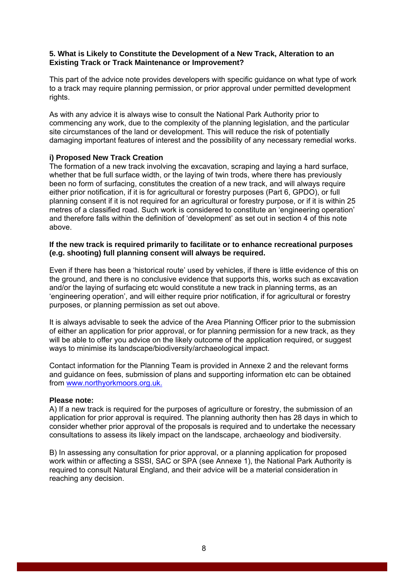# **5. What is Likely to Constitute the Development of a New Track, Alteration to an Existing Track or Track Maintenance or Improvement?**

This part of the advice note provides developers with specific guidance on what type of work to a track may require planning permission, or prior approval under permitted development rights.

As with any advice it is always wise to consult the National Park Authority prior to commencing any work, due to the complexity of the planning legislation, and the particular site circumstances of the land or development. This will reduce the risk of potentially damaging important features of interest and the possibility of any necessary remedial works.

# **i) Proposed New Track Creation**

The formation of a new track involving the excavation, scraping and laying a hard surface, whether that be full surface width, or the laying of twin trods, where there has previously been no form of surfacing, constitutes the creation of a new track, and will always require either prior notification, if it is for agricultural or forestry purposes (Part 6, GPDO), or full planning consent if it is not required for an agricultural or forestry purpose, or if it is within 25 metres of a classified road. Such work is considered to constitute an 'engineering operation' and therefore falls within the definition of 'development' as set out in section 4 of this note above.

#### **If the new track is required primarily to facilitate or to enhance recreational purposes (e.g. shooting) full planning consent will always be required.**

Even if there has been a 'historical route' used by vehicles, if there is little evidence of this on the ground, and there is no conclusive evidence that supports this, works such as excavation and/or the laying of surfacing etc would constitute a new track in planning terms, as an 'engineering operation', and will either require prior notification, if for agricultural or forestry purposes, or planning permission as set out above.

It is always advisable to seek the advice of the Area Planning Officer prior to the submission of either an application for prior approval, or for planning permission for a new track, as they will be able to offer you advice on the likely outcome of the application required, or suggest ways to minimise its landscape/biodiversity/archaeological impact.

Contact information for the Planning Team is provided in Annexe 2 and the relevant forms and guidance on fees, submission of plans and supporting information etc can be obtained from www.northyorkmoors.org.uk.

#### **Please note:**

A) If a new track is required for the purposes of agriculture or forestry, the submission of an application for prior approval is required. The planning authority then has 28 days in which to consider whether prior approval of the proposals is required and to undertake the necessary consultations to assess its likely impact on the landscape, archaeology and biodiversity.

B) In assessing any consultation for prior approval, or a planning application for proposed work within or affecting a SSSI, SAC or SPA (see Annexe 1), the National Park Authority is required to consult Natural England, and their advice will be a material consideration in reaching any decision.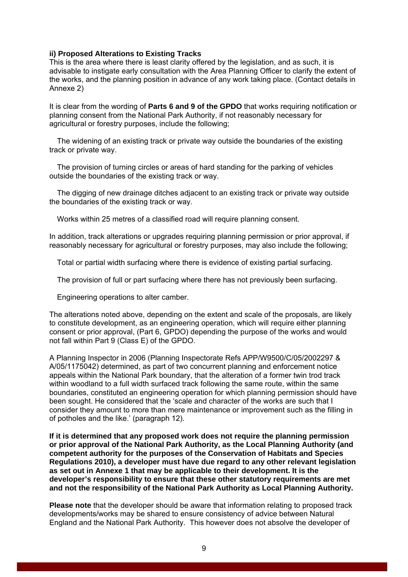#### **ii) Proposed Alterations to Existing Tracks**

This is the area where there is least clarity offered by the legislation, and as such, it is advisable to instigate early consultation with the Area Planning Officer to clarify the extent of the works, and the planning position in advance of any work taking place. (Contact details in Annexe 2)

It is clear from the wording of **Parts 6 and 9 of the GPDO** that works requiring notification or planning consent from the National Park Authority, if not reasonably necessary for agricultural or forestry purposes, include the following;

 The widening of an existing track or private way outside the boundaries of the existing track or private way.

 The provision of turning circles or areas of hard standing for the parking of vehicles outside the boundaries of the existing track or way.

 The digging of new drainage ditches adjacent to an existing track or private way outside the boundaries of the existing track or way.

Works within 25 metres of a classified road will require planning consent.

In addition, track alterations or upgrades requiring planning permission or prior approval, if reasonably necessary for agricultural or forestry purposes, may also include the following;

Total or partial width surfacing where there is evidence of existing partial surfacing.

The provision of full or part surfacing where there has not previously been surfacing.

Engineering operations to alter camber.

The alterations noted above, depending on the extent and scale of the proposals, are likely to constitute development, as an engineering operation, which will require either planning consent or prior approval, (Part 6, GPDO) depending the purpose of the works and would not fall within Part 9 (Class E) of the GPDO.

A Planning Inspector in 2006 (Planning Inspectorate Refs APP/W9500/C/05/2002297 & A/05/1175042) determined, as part of two concurrent planning and enforcement notice appeals within the National Park boundary, that the alteration of a former twin trod track within woodland to a full width surfaced track following the same route, within the same boundaries, constituted an engineering operation for which planning permission should have been sought. He considered that the 'scale and character of the works are such that I consider they amount to more than mere maintenance or improvement such as the filling in of potholes and the like.' (paragraph 12).

**If it is determined that any proposed work does not require the planning permission or prior approval of the National Park Authority, as the Local Planning Authority (and competent authority for the purposes of the Conservation of Habitats and Species Regulations 2010), a developer must have due regard to any other relevant legislation as set out in Annexe 1 that may be applicable to their development. It is the developer's responsibility to ensure that these other statutory requirements are met and not the responsibility of the National Park Authority as Local Planning Authority.** 

**Please note** that the developer should be aware that information relating to proposed track developments/works may be shared to ensure consistency of advice between Natural England and the National Park Authority. This however does not absolve the developer of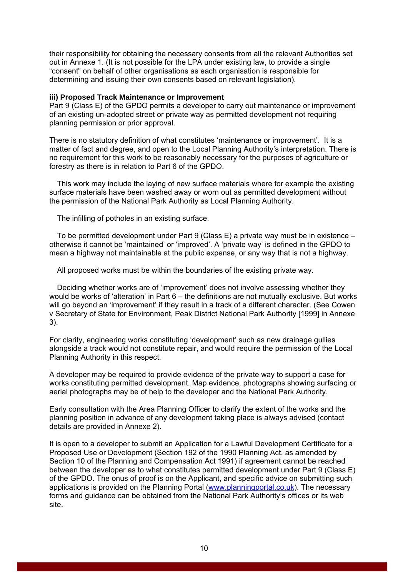their responsibility for obtaining the necessary consents from all the relevant Authorities set out in Annexe 1. (It is not possible for the LPA under existing law, to provide a single "consent" on behalf of other organisations as each organisation is responsible for determining and issuing their own consents based on relevant legislation).

#### **iii) Proposed Track Maintenance or Improvement**

Part 9 (Class E) of the GPDO permits a developer to carry out maintenance or improvement of an existing un-adopted street or private way as permitted development not requiring planning permission or prior approval.

There is no statutory definition of what constitutes 'maintenance or improvement'. It is a matter of fact and degree, and open to the Local Planning Authority's interpretation. There is no requirement for this work to be reasonably necessary for the purposes of agriculture or forestry as there is in relation to Part 6 of the GPDO.

 This work may include the laying of new surface materials where for example the existing surface materials have been washed away or worn out as permitted development without the permission of the National Park Authority as Local Planning Authority.

The infilling of potholes in an existing surface.

 To be permitted development under Part 9 (Class E) a private way must be in existence – otherwise it cannot be 'maintained' or 'improved'. A 'private way' is defined in the GPDO to mean a highway not maintainable at the public expense, or any way that is not a highway.

All proposed works must be within the boundaries of the existing private way.

 Deciding whether works are of 'improvement' does not involve assessing whether they would be works of 'alteration' in Part 6 – the definitions are not mutually exclusive. But works will go beyond an 'improvement' if they result in a track of a different character. (See Cowen v Secretary of State for Environment, Peak District National Park Authority [1999] in Annexe 3).

For clarity, engineering works constituting 'development' such as new drainage gullies alongside a track would not constitute repair, and would require the permission of the Local Planning Authority in this respect.

A developer may be required to provide evidence of the private way to support a case for works constituting permitted development. Map evidence, photographs showing surfacing or aerial photographs may be of help to the developer and the National Park Authority.

Early consultation with the Area Planning Officer to clarify the extent of the works and the planning position in advance of any development taking place is always advised (contact details are provided in Annexe 2).

It is open to a developer to submit an Application for a Lawful Development Certificate for a Proposed Use or Development (Section 192 of the 1990 Planning Act, as amended by Section 10 of the Planning and Compensation Act 1991) if agreement cannot be reached between the developer as to what constitutes permitted development under Part 9 (Class E) of the GPDO. The onus of proof is on the Applicant, and specific advice on submitting such applications is provided on the Planning Portal (www.planningportal.co.uk). The necessary forms and guidance can be obtained from the National Park Authority's offices or its web site.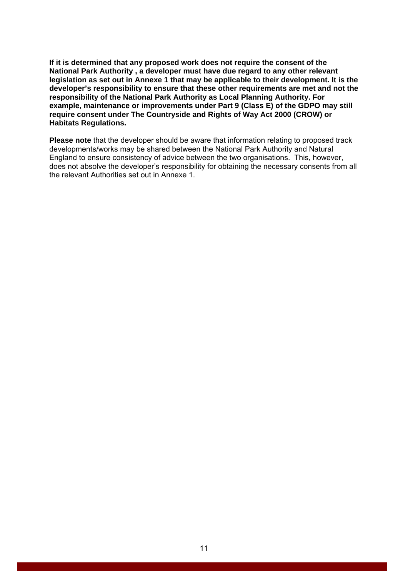**If it is determined that any proposed work does not require the consent of the National Park Authority , a developer must have due regard to any other relevant legislation as set out in Annexe 1 that may be applicable to their development. It is the developer's responsibility to ensure that these other requirements are met and not the responsibility of the National Park Authority as Local Planning Authority. For example, maintenance or improvements under Part 9 (Class E) of the GDPO may still require consent under The Countryside and Rights of Way Act 2000 (CROW) or Habitats Regulations.** 

**Please note** that the developer should be aware that information relating to proposed track developments/works may be shared between the National Park Authority and Natural England to ensure consistency of advice between the two organisations. This, however, does not absolve the developer's responsibility for obtaining the necessary consents from all the relevant Authorities set out in Annexe 1.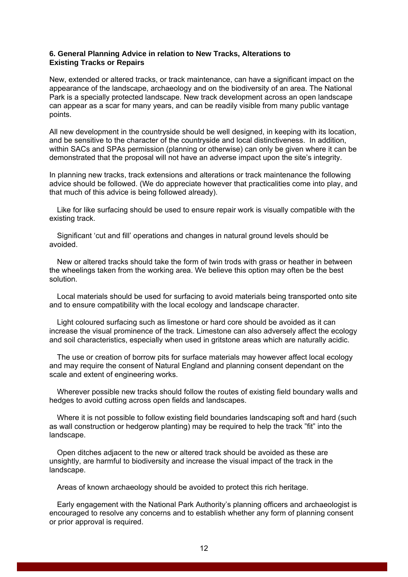#### **6. General Planning Advice in relation to New Tracks, Alterations to Existing Tracks or Repairs**

New, extended or altered tracks, or track maintenance, can have a significant impact on the appearance of the landscape, archaeology and on the biodiversity of an area. The National Park is a specially protected landscape. New track development across an open landscape can appear as a scar for many years, and can be readily visible from many public vantage points.

All new development in the countryside should be well designed, in keeping with its location, and be sensitive to the character of the countryside and local distinctiveness. In addition, within SACs and SPAs permission (planning or otherwise) can only be given where it can be demonstrated that the proposal will not have an adverse impact upon the site's integrity.

In planning new tracks, track extensions and alterations or track maintenance the following advice should be followed. (We do appreciate however that practicalities come into play, and that much of this advice is being followed already).

 Like for like surfacing should be used to ensure repair work is visually compatible with the existing track.

 Significant 'cut and fill' operations and changes in natural ground levels should be avoided.

 New or altered tracks should take the form of twin trods with grass or heather in between the wheelings taken from the working area. We believe this option may often be the best solution.

 Local materials should be used for surfacing to avoid materials being transported onto site and to ensure compatibility with the local ecology and landscape character.

 Light coloured surfacing such as limestone or hard core should be avoided as it can increase the visual prominence of the track. Limestone can also adversely affect the ecology and soil characteristics, especially when used in gritstone areas which are naturally acidic.

 The use or creation of borrow pits for surface materials may however affect local ecology and may require the consent of Natural England and planning consent dependant on the scale and extent of engineering works.

 Wherever possible new tracks should follow the routes of existing field boundary walls and hedges to avoid cutting across open fields and landscapes.

 Where it is not possible to follow existing field boundaries landscaping soft and hard (such as wall construction or hedgerow planting) may be required to help the track "fit" into the landscape.

 Open ditches adjacent to the new or altered track should be avoided as these are unsightly, are harmful to biodiversity and increase the visual impact of the track in the landscape.

Areas of known archaeology should be avoided to protect this rich heritage.

 Early engagement with the National Park Authority's planning officers and archaeologist is encouraged to resolve any concerns and to establish whether any form of planning consent or prior approval is required.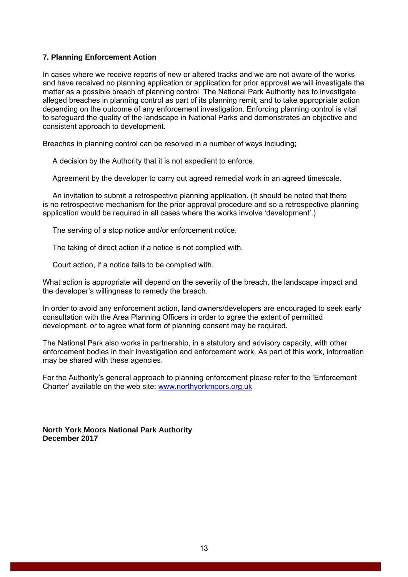# **7. Planning Enforcement Action**

In cases where we receive reports of new or altered tracks and we are not aware of the works and have received no planning application or application for prior approval we will investigate the matter as a possible breach of planning control. The National Park Authority has to investigate alleged breaches in planning control as part of its planning remit, and to take appropriate action depending on the outcome of any enforcement investigation. Enforcing planning control is vital to safeguard the quality of the landscape in National Parks and demonstrates an objective and consistent approach to development.

Breaches in planning control can be resolved in a number of ways including;

A decision by the Authority that it is not expedient to enforce.

Agreement by the developer to carry out agreed remedial work in an agreed timescale.

 An invitation to submit a retrospective planning application. (It should be noted that there is no retrospective mechanism for the prior approval procedure and so a retrospective planning application would be required in all cases where the works involve 'development'.)

The serving of a stop notice and/or enforcement notice.

The taking of direct action if a notice is not complied with.

Court action, if a notice fails to be complied with.

What action is appropriate will depend on the severity of the breach, the landscape impact and the developer's willingness to remedy the breach.

In order to avoid any enforcement action, land owners/developers are encouraged to seek early consultation with the Area Planning Officers in order to agree the extent of permitted development, or to agree what form of planning consent may be required.

The National Park also works in partnership, in a statutory and advisory capacity, with other enforcement bodies in their investigation and enforcement work. As part of this work, information may be shared with these agencies.

For the Authority's general approach to planning enforcement please refer to the 'Enforcement Charter' available on the web site: www.northyorkmoors.org.uk

**North York Moors National Park Authority December 2017**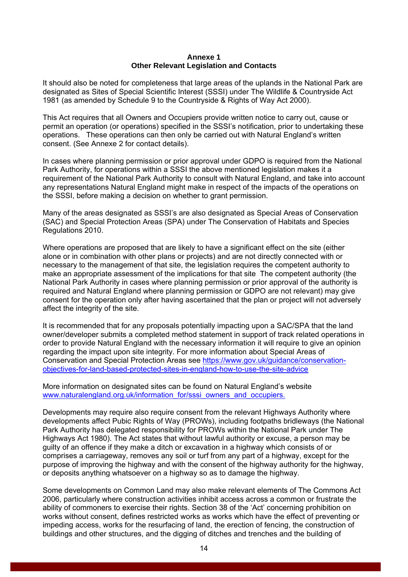#### **Annexe 1 Other Relevant Legislation and Contacts**

It should also be noted for completeness that large areas of the uplands in the National Park are designated as Sites of Special Scientific Interest (SSSI) under The Wildlife & Countryside Act 1981 (as amended by Schedule 9 to the Countryside & Rights of Way Act 2000).

This Act requires that all Owners and Occupiers provide written notice to carry out, cause or permit an operation (or operations) specified in the SSSI's notification, prior to undertaking these operations. These operations can then only be carried out with Natural England's written consent. (See Annexe 2 for contact details).

In cases where planning permission or prior approval under GDPO is required from the National Park Authority, for operations within a SSSI the above mentioned legislation makes it a requirement of the National Park Authority to consult with Natural England, and take into account any representations Natural England might make in respect of the impacts of the operations on the SSSI, before making a decision on whether to grant permission.

Many of the areas designated as SSSI's are also designated as Special Areas of Conservation (SAC) and Special Protection Areas (SPA) under The Conservation of Habitats and Species Regulations 2010.

Where operations are proposed that are likely to have a significant effect on the site (either alone or in combination with other plans or projects) and are not directly connected with or necessary to the management of that site, the legislation requires the competent authority to make an appropriate assessment of the implications for that site The competent authority (the National Park Authority in cases where planning permission or prior approval of the authority is required and Natural England where planning permission or GDPO are not relevant) may give consent for the operation only after having ascertained that the plan or project will not adversely affect the integrity of the site.

It is recommended that for any proposals potentially impacting upon a SAC/SPA that the land owner/developer submits a completed method statement in support of track related operations in order to provide Natural England with the necessary information it will require to give an opinion regarding the impact upon site integrity. For more information about Special Areas of Conservation and Special Protection Areas see https://www.gov.uk/guidance/conservationobjectives-for-land-based-protected-sites-in-england-how-to-use-the-site-advice

More information on designated sites can be found on Natural England's website www.naturalengland.org.uk/information\_for/sssi\_owners\_and\_occupiers.

Developments may require also require consent from the relevant Highways Authority where developments affect Pubic Rights of Way (PROWs), including footpaths bridleways (the National Park Authority has delegated responsibility for PROWs within the National Park under The Highways Act 1980). The Act states that without lawful authority or excuse, a person may be guilty of an offence if they make a ditch or excavation in a highway which consists of or comprises a carriageway, removes any soil or turf from any part of a highway, except for the purpose of improving the highway and with the consent of the highway authority for the highway, or deposits anything whatsoever on a highway so as to damage the highway.

Some developments on Common Land may also make relevant elements of The Commons Act 2006, particularly where construction activities inhibit access across a common or frustrate the ability of commoners to exercise their rights. Section 38 of the 'Act' concerning prohibition on works without consent, defines restricted works as works which have the effect of preventing or impeding access, works for the resurfacing of land, the erection of fencing, the construction of buildings and other structures, and the digging of ditches and trenches and the building of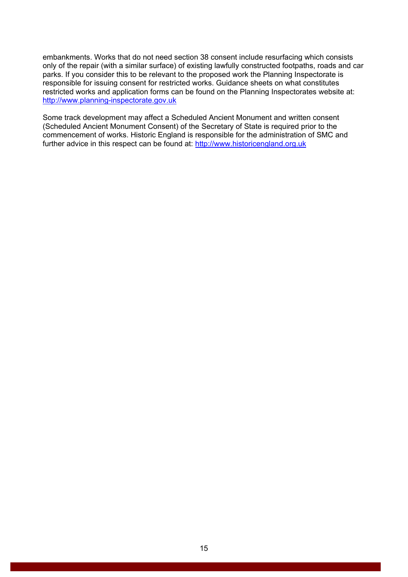embankments. Works that do not need section 38 consent include resurfacing which consists only of the repair (with a similar surface) of existing lawfully constructed footpaths, roads and car parks. If you consider this to be relevant to the proposed work the Planning Inspectorate is responsible for issuing consent for restricted works. Guidance sheets on what constitutes restricted works and application forms can be found on the Planning Inspectorates website at: http://www.planning-inspectorate.gov.uk

Some track development may affect a Scheduled Ancient Monument and written consent (Scheduled Ancient Monument Consent) of the Secretary of State is required prior to the commencement of works. Historic England is responsible for the administration of SMC and further advice in this respect can be found at: http://www.historicengland.org.uk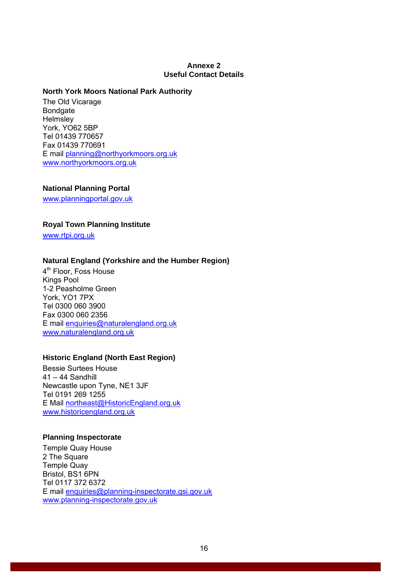# **Annexe 2 Useful Contact Details**

#### **North York Moors National Park Authority**

The Old Vicarage Bondgate **Helmsley** York, YO62 5BP Tel 01439 770657 Fax 01439 770691 E mail planning@northyorkmoors.org.uk www.northyorkmoors.org.uk

# **National Planning Portal**

www.planningportal.gov.uk

# **Royal Town Planning Institute**

www.rtpi.org.uk

# **Natural England (Yorkshire and the Humber Region)**

4<sup>th</sup> Floor, Foss House Kings Pool 1-2 Peasholme Green York, YO1 7PX Tel 0300 060 3900 Fax 0300 060 2356 E mail enquiries@naturalengland.org.uk www.naturalengland.org.uk

#### **Historic England (North East Region)**

Bessie Surtees House 41 – 44 Sandhill Newcastle upon Tyne, NE1 3JF Tel 0191 269 1255 E Mail northeast@HistoricEngland.org.uk www.historicengland.org.uk

#### **Planning Inspectorate**

Temple Quay House 2 The Square Temple Quay Bristol, BS1 6PN Tel 0117 372 6372 E mail enquiries@planning-inspectorate.gsi.gov.uk www.planning-inspectorate.gov.uk